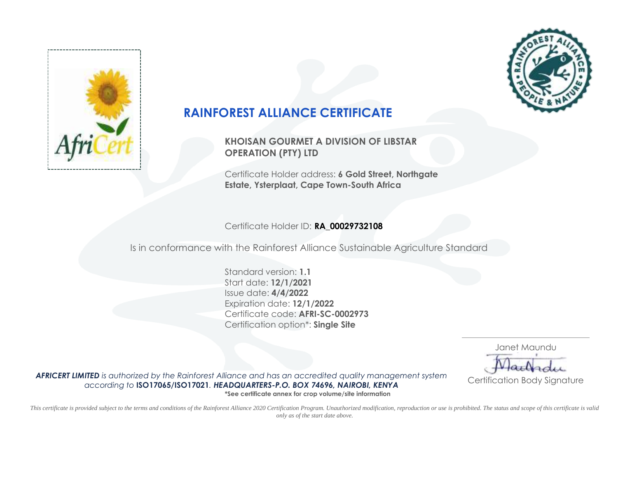



## **RAINFOREST ALLIANCE CERTIFICATE**

**KHOISAN GOURMET A DIVISION OF LIBSTAR OPERATION (PTY) LTD**

Certificate Holder address: **6 Gold Street, Northgate Estate, Ysterplaat, Cape Town-South Africa**

Certificate Holder ID: **RA\_00029732108**

Is in conformance with the Rainforest Alliance Sustainable Agriculture Standard

Standard version: **1.1** Start date: **12/1/2021** Issue date: **4/4/2022** Expiration date: **12/1/2022** Certificate code: **AFRI-SC-0002973** Certification option\*: **Single Site**

> Janet Maundu Certification Body Signature

*AFRICERT LIMITED is authorized by the Rainforest Alliance and has an accredited quality management system according to* **ISO17065/ISO17021***. HEADQUARTERS-P.O. BOX 74696, NAIROBI, KENYA* **\*See certificate annex for crop volume/site information**

This certificate is provided subject to the terms and conditions of the Rainforest Alliance 2020 Certification Program. Unauthorized modification, reproduction or use is prohibited. The status and scope of this certificate *only as of the start date above.*